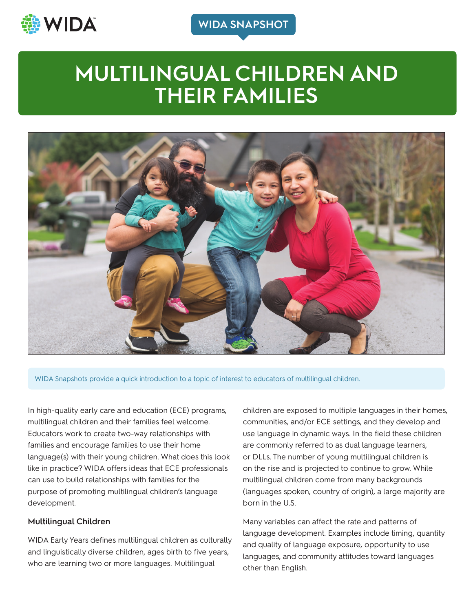

**WIDA SNAPSHOT**

# **MULTILINGUAL CHILDREN AND THEIR FAMILIES**



WIDA Snapshots provide a quick introduction to a topic of interest to educators of multilingual children.

In high-quality early care and education (ECE) programs, multilingual children and their families feel welcome. Educators work to create two-way relationships with families and encourage families to use their home language(s) with their young children. What does this look like in practice? WIDA offers ideas that ECE professionals can use to build relationships with families for the purpose of promoting multilingual children's language development.

#### **Multilingual Children**

WIDA Early Years defines multilingual children as culturally and linguistically diverse children, ages birth to five years, who are learning two or more languages. Multilingual

children are exposed to multiple languages in their homes, communities, and/or ECE settings, and they develop and use language in dynamic ways. In the field these children are commonly referred to as dual language learners, or DLLs. The number of young multilingual children is on the rise and is projected to continue to grow. While multilingual children come from many backgrounds (languages spoken, country of origin), a large majority are born in the U.S.

Many variables can affect the rate and patterns of language development. Examples include timing, quantity and quality of language exposure, opportunity to use languages, and community attitudes toward languages other than English.